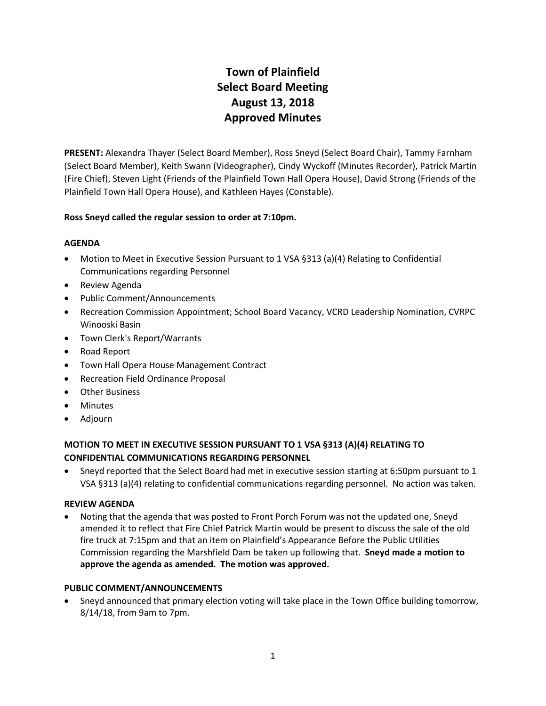# **Town of Plainfield Select Board Meeting August 13, 2018 Approved Minutes**

**PRESENT:** Alexandra Thayer (Select Board Member), Ross Sneyd (Select Board Chair), Tammy Farnham (Select Board Member), Keith Swann (Videographer), Cindy Wyckoff (Minutes Recorder), Patrick Martin (Fire Chief), Steven Light (Friends of the Plainfield Town Hall Opera House), David Strong (Friends of the Plainfield Town Hall Opera House), and Kathleen Hayes (Constable).

### **Ross Sneyd called the regular session to order at 7:10pm.**

### **AGENDA**

- Motion to Meet in Executive Session Pursuant to 1 VSA §313 (a)(4) Relating to Confidential Communications regarding Personnel
- Review Agenda
- Public Comment/Announcements
- Recreation Commission Appointment; School Board Vacancy, VCRD Leadership Nomination, CVRPC Winooski Basin
- Town Clerk's Report/Warrants
- Road Report
- Town Hall Opera House Management Contract
- Recreation Field Ordinance Proposal
- Other Business
- Minutes
- Adjourn

## **MOTION TO MEET IN EXECUTIVE SESSION PURSUANT TO 1 VSA §313 (A)(4) RELATING TO CONFIDENTIAL COMMUNICATIONS REGARDING PERSONNEL**

 Sneyd reported that the Select Board had met in executive session starting at 6:50pm pursuant to 1 VSA §313 (a)(4) relating to confidential communications regarding personnel. No action was taken.

#### **REVIEW AGENDA**

 Noting that the agenda that was posted to Front Porch Forum was not the updated one, Sneyd amended it to reflect that Fire Chief Patrick Martin would be present to discuss the sale of the old fire truck at 7:15pm and that an item on Plainfield's Appearance Before the Public Utilities Commission regarding the Marshfield Dam be taken up following that. **Sneyd made a motion to approve the agenda as amended. The motion was approved.**

## **PUBLIC COMMENT/ANNOUNCEMENTS**

 Sneyd announced that primary election voting will take place in the Town Office building tomorrow, 8/14/18, from 9am to 7pm.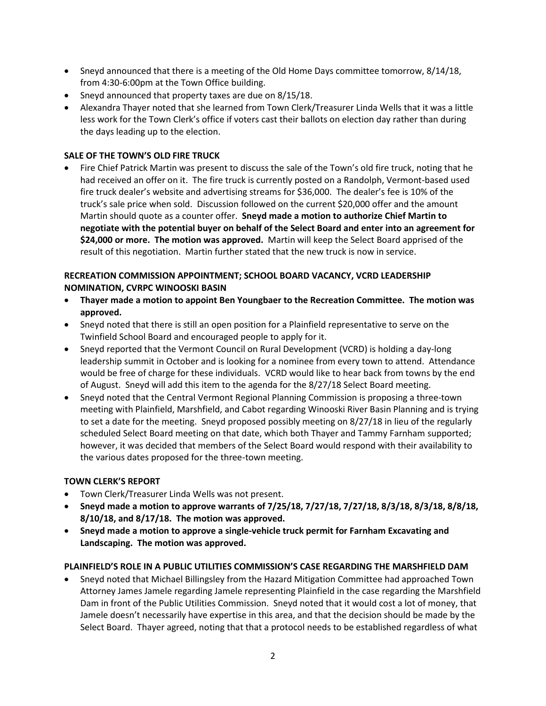- Sneyd announced that there is a meeting of the Old Home Days committee tomorrow, 8/14/18, from 4:30-6:00pm at the Town Office building.
- Sneyd announced that property taxes are due on 8/15/18.
- Alexandra Thayer noted that she learned from Town Clerk/Treasurer Linda Wells that it was a little less work for the Town Clerk's office if voters cast their ballots on election day rather than during the days leading up to the election.

## **SALE OF THE TOWN'S OLD FIRE TRUCK**

 Fire Chief Patrick Martin was present to discuss the sale of the Town's old fire truck, noting that he had received an offer on it. The fire truck is currently posted on a Randolph, Vermont-based used fire truck dealer's website and advertising streams for \$36,000. The dealer's fee is 10% of the truck's sale price when sold. Discussion followed on the current \$20,000 offer and the amount Martin should quote as a counter offer. **Sneyd made a motion to authorize Chief Martin to negotiate with the potential buyer on behalf of the Select Board and enter into an agreement for \$24,000 or more. The motion was approved.** Martin will keep the Select Board apprised of the result of this negotiation. Martin further stated that the new truck is now in service.

## **RECREATION COMMISSION APPOINTMENT; SCHOOL BOARD VACANCY, VCRD LEADERSHIP NOMINATION, CVRPC WINOOSKI BASIN**

- **Thayer made a motion to appoint Ben Youngbaer to the Recreation Committee. The motion was approved.**
- Sneyd noted that there is still an open position for a Plainfield representative to serve on the Twinfield School Board and encouraged people to apply for it.
- Sneyd reported that the Vermont Council on Rural Development (VCRD) is holding a day-long leadership summit in October and is looking for a nominee from every town to attend. Attendance would be free of charge for these individuals. VCRD would like to hear back from towns by the end of August. Sneyd will add this item to the agenda for the 8/27/18 Select Board meeting.
- Sneyd noted that the Central Vermont Regional Planning Commission is proposing a three-town meeting with Plainfield, Marshfield, and Cabot regarding Winooski River Basin Planning and is trying to set a date for the meeting. Sneyd proposed possibly meeting on 8/27/18 in lieu of the regularly scheduled Select Board meeting on that date, which both Thayer and Tammy Farnham supported; however, it was decided that members of the Select Board would respond with their availability to the various dates proposed for the three-town meeting.

#### **TOWN CLERK'S REPORT**

- Town Clerk/Treasurer Linda Wells was not present.
- **Sneyd made a motion to approve warrants of 7/25/18, 7/27/18, 7/27/18, 8/3/18, 8/3/18, 8/8/18, 8/10/18, and 8/17/18. The motion was approved.**
- **Sneyd made a motion to approve a single-vehicle truck permit for Farnham Excavating and Landscaping. The motion was approved.**

#### **PLAINFIELD'S ROLE IN A PUBLIC UTILITIES COMMISSION'S CASE REGARDING THE MARSHFIELD DAM**

 Sneyd noted that Michael Billingsley from the Hazard Mitigation Committee had approached Town Attorney James Jamele regarding Jamele representing Plainfield in the case regarding the Marshfield Dam in front of the Public Utilities Commission. Sneyd noted that it would cost a lot of money, that Jamele doesn't necessarily have expertise in this area, and that the decision should be made by the Select Board. Thayer agreed, noting that that a protocol needs to be established regardless of what